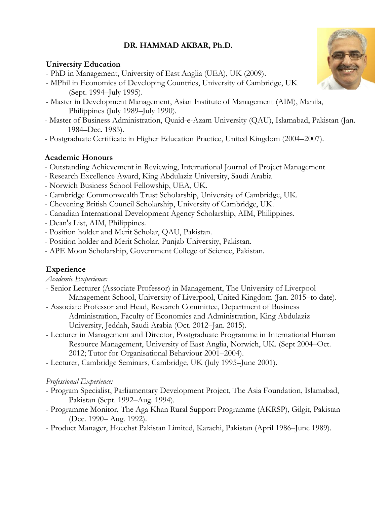# **DR. HAMMAD AKBAR, Ph.D.**

## **University Education**

- PhD in Management, University of East Anglia (UEA), UK (2009).
- MPhil in Economics of Developing Countries, University of Cambridge, UK (Sept. 1994–July 1995).
- Master in Development Management, Asian Institute of Management (AIM), Manila, Philippines (July 1989–July 1990).
- Master of Business Administration, Quaid-e-Azam University (QAU), Islamabad, Pakistan (Jan. 1984–Dec. 1985).
- Postgraduate Certificate in Higher Education Practice, United Kingdom (2004–2007).

## **Academic Honours**

- Outstanding Achievement in Reviewing, International Journal of Project Management
- Research Excellence Award, King Abdulaziz University, Saudi Arabia
- Norwich Business School Fellowship, UEA, UK.
- Cambridge Commonwealth Trust Scholarship, University of Cambridge, UK.
- Chevening British Council Scholarship, University of Cambridge, UK.
- Canadian International Development Agency Scholarship, AIM, Philippines.
- Dean's List, AIM, Philippines.
- Position holder and Merit Scholar, QAU, Pakistan.
- Position holder and Merit Scholar, Punjab University, Pakistan.
- APE Moon Scholarship, Government College of Science, Pakistan.

## **Experience**

- *Academic Experience:*
- Senior Lecturer (Associate Professor) in Management, The University of Liverpool Management School, University of Liverpool, United Kingdom (Jan. 2015–to date).
- Associate Professor and Head, Research Committee, Department of Business Administration, Faculty of Economics and Administration, King Abdulaziz University, Jeddah, Saudi Arabia (Oct. 2012–Jan. 2015).
- Lecturer in Management and Director, Postgraduate Programme in International Human Resource Management, University of East Anglia, Norwich, UK. (Sept 2004–Oct. 2012; Tutor for Organisational Behaviour 2001–2004).
- Lecturer, Cambridge Seminars, Cambridge, UK (July 1995–June 2001).

## *Professional Experience:*

- Program Specialist, Parliamentary Development Project, The Asia Foundation, Islamabad, Pakistan (Sept. 1992–Aug. 1994).
- Programme Monitor, The Aga Khan Rural Support Programme (AKRSP), Gilgit, Pakistan (Dec. 1990– Aug. 1992).
- Product Manager, Hoechst Pakistan Limited, Karachi, Pakistan (April 1986–June 1989).

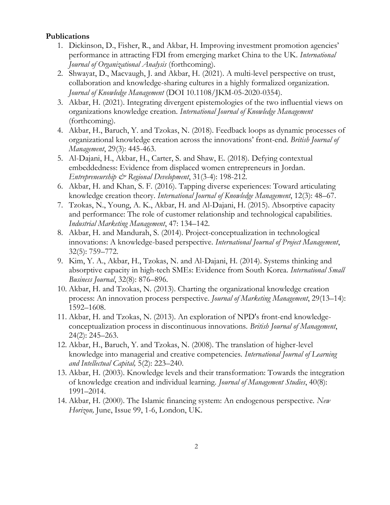#### **Publications**

- 1. Dickinson, D., Fisher, R., and Akbar, H. Improving investment promotion agencies' performance in attracting FDI from emerging market China to the UK. *International Journal of Organizational Analysis* (forthcoming).
- 2. Shwayat, D., Macvaugh, J. and Akbar, H. (2021). A multi-level perspective on trust, collaboration and knowledge-sharing cultures in a highly formalized organization. *Journal of Knowledge Management* (DOI 10.1108/JKM-05-2020-0354).
- 3. Akbar, H. (2021). Integrating divergent epistemologies of the two influential views on organizations knowledge creation. *International Journal of Knowledge Management*  (forthcoming).
- 4. Akbar, H., Baruch, Y. and Tzokas, N. (2018). Feedback loops as dynamic processes of organizational knowledge creation across the innovations' front-end. *British Journal of Management*, 29(3): 445-463.
- 5. Al-Dajani, H., Akbar, H., Carter, S. and Shaw, E. (2018). Defying contextual embeddedness: Evidence from displaced women entrepreneurs in Jordan. *Entrepreneurship & Regional Development*, 31(3-4): 198-212.
- 6. Akbar, H. and Khan, S. F. (2016). Tapping diverse experiences: Toward articulating knowledge creation theory. *International Journal of Knowledge Management*, 12(3): 48–67.
- 7. Tzokas, N., Young, A. K., Akbar, H. and Al-Dajani, H. (2015). Absorptive capacity and performance: The role of customer relationship and technological capabilities. *Industrial Marketing Management*, 47: 134–142.
- 8. Akbar, H. and Mandurah, S. (2014). Project-conceptualization in technological innovations: A knowledge-based perspective. *International Journal of Project Management*, 32(5): 759–772.
- 9. Kim, Y. A., Akbar, H., Tzokas, N. and Al-Dajani, H. (2014). Systems thinking and absorptive capacity in high-tech SMEs: Evidence from South Korea. *International Small Business Journal*, 32(8): 876–896.
- 10. Akbar, H. and Tzokas, N. (2013). Charting the organizational knowledge creation process: An innovation process perspective. *Journal of Marketing Management*, 29(13–14): 1592–1608.
- 11. Akbar, H. and Tzokas, N. (2013). An exploration of NPD's front-end knowledgeconceptualization process in discontinuous innovations. *British Journal of Management*, 24(2): 245–263.
- 12. Akbar, H., Baruch, Y. and Tzokas, N. (2008). The translation of higher-level knowledge into managerial and creative competencies. *International Journal of Learning and Intellectual Capital,* 5(2): 223–240.
- 13. Akbar, H. (2003). Knowledge levels and their transformation: Towards the integration of knowledge creation and individual learning. *Journal of Management Studies*, 40(8): 1991–2014.
- 14. Akbar, H. (2000). The Islamic financing system: An endogenous perspective. *New Horizon,* June, Issue 99, 1-6, London, UK.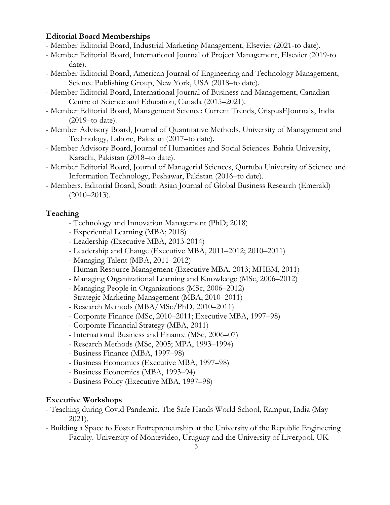### **Editorial Board Memberships**

- Member Editorial Board, Industrial Marketing Management, Elsevier (2021-to date).
- Member Editorial Board, International Journal of Project Management, Elsevier (2019-to date).
- Member Editorial Board, American Journal of Engineering and Technology Management, Science Publishing Group, New York, USA (2018–to date).
- Member Editorial Board, International Journal of Business and Management, Canadian Centre of Science and Education, Canada (2015–2021).
- Member Editorial Board, Management Science: Current Trends, CrispusEJournals, India (2019–to date).
- Member Advisory Board, Journal of Quantitative Methods, University of Management and Technology, Lahore, Pakistan (2017–to date).
- Member Advisory Board, Journal of Humanities and Social Sciences. Bahria University, Karachi, Pakistan (2018–to date).
- Member Editorial Board, Journal of Managerial Sciences, Qurtuba University of Science and Information Technology, Peshawar, Pakistan (2016–to date).
- Members, Editorial Board, South Asian Journal of Global Business Research (Emerald)  $(2010 - 2013)$ .

### **Teaching**

- Technology and Innovation Management (PhD; 2018)
- Experiential Learning (MBA; 2018)
- Leadership (Executive MBA, 2013-2014)
- Leadership and Change (Executive MBA, 2011–2012; 2010–2011)
- Managing Talent (MBA, 2011–2012)
- Human Resource Management (Executive MBA, 2013; MHEM, 2011)
- Managing Organizational Learning and Knowledge (MSc, 2006–2012)
- Managing People in Organizations (MSc, 2006–2012)
- Strategic Marketing Management (MBA, 2010–2011)
- Research Methods (MBA/MSc/PhD, 2010–2011)
- Corporate Finance (MSc, 2010–2011; Executive MBA, 1997–98)
- Corporate Financial Strategy (MBA, 2011)
- International Business and Finance (MSc, 2006–07)
- Research Methods (MSc, 2005; MPA, 1993–1994)
- Business Finance (MBA, 1997–98)
- Business Economics (Executive MBA, 1997–98)
- Business Economics (MBA, 1993–94)
- Business Policy (Executive MBA, 1997–98)

### **Executive Workshops**

- Teaching during Covid Pandemic. The Safe Hands World School, Rampur, India (May 2021).
- Building a Space to Foster Entrepreneurship at the University of the Republic Engineering Faculty. University of Montevideo, Uruguay and the University of Liverpool, UK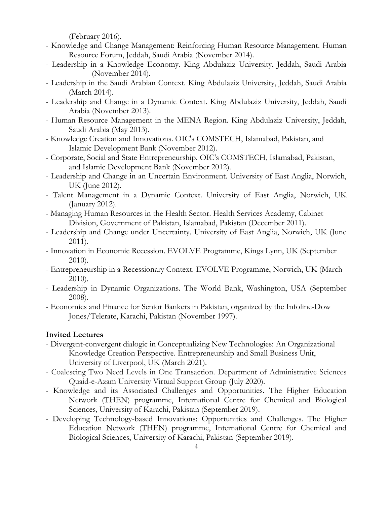(February 2016).

- Knowledge and Change Management: Reinforcing Human Resource Management. Human Resource Forum, Jeddah, Saudi Arabia (November 2014).
- Leadership in a Knowledge Economy. King Abdulaziz University, Jeddah, Saudi Arabia (November 2014).
- Leadership in the Saudi Arabian Context. King Abdulaziz University, Jeddah, Saudi Arabia (March 2014).
- Leadership and Change in a Dynamic Context. King Abdulaziz University, Jeddah, Saudi Arabia (November 2013).
- Human Resource Management in the MENA Region. King Abdulaziz University, Jeddah, Saudi Arabia (May 2013).
- Knowledge Creation and Innovations. OIC's COMSTECH, Islamabad, Pakistan, and Islamic Development Bank (November 2012).
- Corporate, Social and State Entrepreneurship. OIC's COMSTECH, Islamabad, Pakistan, and Islamic Development Bank (November 2012).
- Leadership and Change in an Uncertain Environment. University of East Anglia, Norwich, UK (June 2012).
- Talent Management in a Dynamic Context. University of East Anglia, Norwich, UK (January 2012).
- Managing Human Resources in the Health Sector. Health Services Academy, Cabinet Division, Government of Pakistan, Islamabad, Pakistan (December 2011).
- Leadership and Change under Uncertainty. University of East Anglia, Norwich, UK (June 2011).
- Innovation in Economic Recession. EVOLVE Programme, Kings Lynn, UK (September 2010).
- Entrepreneurship in a Recessionary Context. EVOLVE Programme, Norwich, UK (March 2010).
- Leadership in Dynamic Organizations. The World Bank, Washington, USA (September 2008).
- Economics and Finance for Senior Bankers in Pakistan, organized by the Infoline-Dow Jones/Telerate, Karachi, Pakistan (November 1997).

### **Invited Lectures**

- Divergent-convergent dialogic in Conceptualizing New Technologies: An Organizational Knowledge Creation Perspective. Entrepreneurship and Small Business Unit, University of Liverpool, UK (March 2021).
- Coalescing Two Need Levels in One Transaction. Department of Administrative Sciences Quaid-e-Azam University Virtual Support Group (July 2020).
- Knowledge and its Associated Challenges and Opportunities. The Higher Education Network (THEN) programme, International Centre for Chemical and Biological Sciences, University of Karachi, Pakistan (September 2019).
- Developing Technology-based Innovations: Opportunities and Challenges. The Higher Education Network (THEN) programme, International Centre for Chemical and Biological Sciences, University of Karachi, Pakistan (September 2019).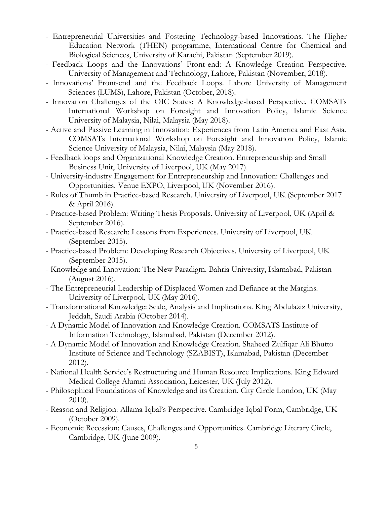- Entrepreneurial Universities and Fostering Technology-based Innovations. The Higher Education Network (THEN) programme, International Centre for Chemical and Biological Sciences, University of Karachi, Pakistan (September 2019).
- Feedback Loops and the Innovations' Front-end: A Knowledge Creation Perspective. University of Management and Technology, Lahore, Pakistan (November, 2018).
- Innovations' Front-end and the Feedback Loops. Lahore University of Management Sciences (LUMS), Lahore, Pakistan (October, 2018).
- Innovation Challenges of the OIC States: A Knowledge-based Perspective. COMSATs International Workshop on Foresight and Innovation Policy, Islamic Science University of Malaysia, Nilai, Malaysia (May 2018).
- Active and Passive Learning in Innovation: Experiences from Latin America and East Asia. COMSATs International Workshop on Foresight and Innovation Policy, Islamic Science University of Malaysia, Nilai, Malaysia (May 2018).
- Feedback loops and Organizational Knowledge Creation. Entrepreneurship and Small Business Unit, University of Liverpool, UK (May 2017).
- University-industry Engagement for Entrepreneurship and Innovation: Challenges and Opportunities. Venue EXPO, Liverpool, UK (November 2016).
- Rules of Thumb in Practice-based Research. University of Liverpool, UK (September 2017 & April 2016).
- Practice-based Problem: Writing Thesis Proposals. University of Liverpool, UK (April & September 2016).
- Practice-based Research: Lessons from Experiences. University of Liverpool, UK (September 2015).
- Practice-based Problem: Developing Research Objectives. University of Liverpool, UK (September 2015).
- Knowledge and Innovation: The New Paradigm. Bahria University, Islamabad, Pakistan (August 2016).
- The Entrepreneurial Leadership of Displaced Women and Defiance at the Margins. University of Liverpool, UK (May 2016).
- Transformational Knowledge: Scale, Analysis and Implications. King Abdulaziz University, Jeddah, Saudi Arabia (October 2014).
- A Dynamic Model of Innovation and Knowledge Creation. COMSATS Institute of Information Technology, Islamabad, Pakistan (December 2012).
- A Dynamic Model of Innovation and Knowledge Creation. Shaheed Zulfiqar Ali Bhutto Institute of Science and Technology (SZABIST), Islamabad, Pakistan (December 2012).
- National Health Service's Restructuring and Human Resource Implications. King Edward Medical College Alumni Association, Leicester, UK (July 2012).
- Philosophical Foundations of Knowledge and its Creation. City Circle London, UK (May 2010).
- Reason and Religion: Allama Iqbal's Perspective. Cambridge Iqbal Form, Cambridge, UK (October 2009).
- Economic Recession: Causes, Challenges and Opportunities. Cambridge Literary Circle, Cambridge, UK (June 2009).